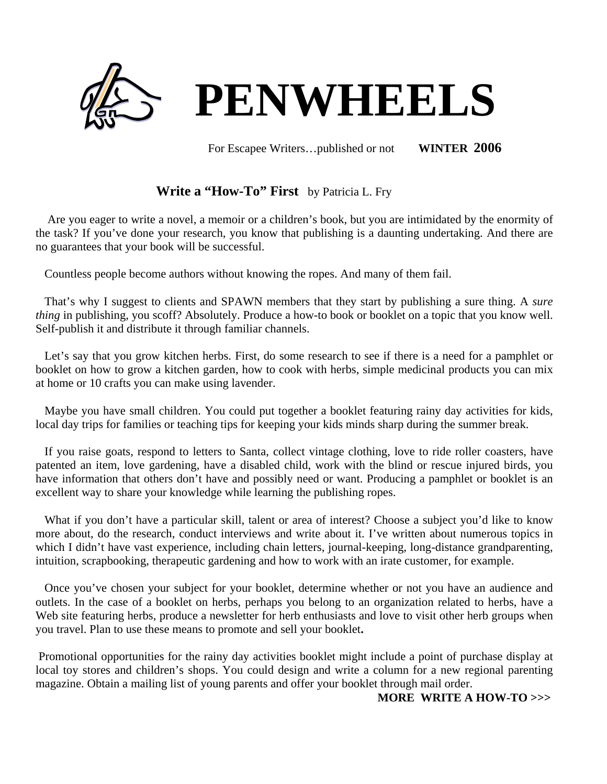

For Escapee Writers…published or not **WINTER 2006**

# **Write a "How-To" First** by Patricia L. Fry

Are you eager to write a novel, a memoir or a children's book, but you are intimidated by the enormity of the task? If you've done your research, you know that publishing is a daunting undertaking. And there are no guarantees that your book will be successful.

Countless people become authors without knowing the ropes. And many of them fail.

That's why I suggest to clients and SPAWN members that they start by publishing a sure thing. A *sure thing* in publishing, you scoff? Absolutely. Produce a how-to book or booklet on a topic that you know well. Self-publish it and distribute it through familiar channels.

Let's say that you grow kitchen herbs. First, do some research to see if there is a need for a pamphlet or booklet on how to grow a kitchen garden, how to cook with herbs, simple medicinal products you can mix at home or 10 crafts you can make using lavender.

Maybe you have small children. You could put together a booklet featuring rainy day activities for kids, local day trips for families or teaching tips for keeping your kids minds sharp during the summer break.

If you raise goats, respond to letters to Santa, collect vintage clothing, love to ride roller coasters, have patented an item, love gardening, have a disabled child, work with the blind or rescue injured birds, you have information that others don't have and possibly need or want. Producing a pamphlet or booklet is an excellent way to share your knowledge while learning the publishing ropes.

What if you don't have a particular skill, talent or area of interest? Choose a subject you'd like to know more about, do the research, conduct interviews and write about it. I've written about numerous topics in which I didn't have vast experience, including chain letters, journal-keeping, long-distance grandparenting, intuition, scrapbooking, therapeutic gardening and how to work with an irate customer, for example.

Once you've chosen your subject for your booklet, determine whether or not you have an audience and outlets. In the case of a booklet on herbs, perhaps you belong to an organization related to herbs, have a Web site featuring herbs, produce a newsletter for herb enthusiasts and love to visit other herb groups when you travel. Plan to use these means to promote and sell your booklet**.** 

Promotional opportunities for the rainy day activities booklet might include a point of purchase display at local toy stores and children's shops. You could design and write a column for a new regional parenting magazine. Obtain a mailing list of young parents and offer your booklet through mail order.

### **MORE WRITE A HOW-TO >>>**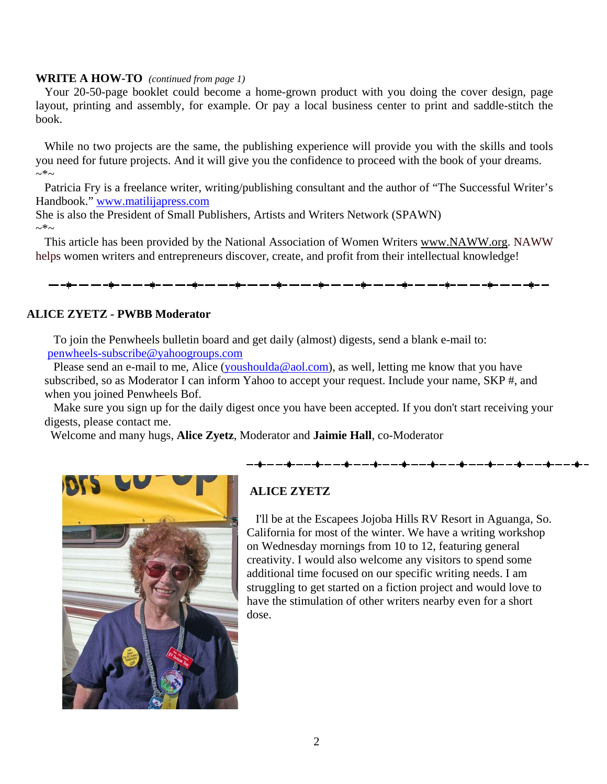#### **WRITE A HOW-TO** *(continued from page 1)*

Your 20-50-page booklet could become a home-grown product with you doing the cover design, page layout, printing and assembly, for example. Or pay a local business center to print and saddle-stitch the book.

While no two projects are the same, the publishing experience will provide you with the skills and tools you need for future projects. And it will give you the confidence to proceed with the book of your dreams.  $\sim^*$ ~

Patricia Fry is a freelance writer, writing/publishing consultant and the author of "The Successful Writer's Handbook." [www.matilijapress.com](http://www.matilijapress.com/)

She is also the President of Small Publishers, Artists and Writers Network (SPAWN)  $\sim^*$ ~

This article has been provided by the National Association of Women Writers [www.NAWW.org](http://www.naww.org/). NAWW helps women writers and entrepreneurs discover, create, and profit from their intellectual knowledge!

#### **ALICE ZYETZ - PWBB Moderator**

To join the Penwheels bulletin board and get daily (almost) digests, send a blank e-mail to: [penwheels-subscribe@yahoogroups.com](mailto:penwheels-subscribe@yahoogroups.com)

Please send an e-mail to me, Alice ([youshoulda@aol.com\)](mailto:youshoulda@aol.com), as well, letting me know that you have subscribed, so as Moderator I can inform Yahoo to accept your request. Include your name, SKP #, and when you joined Penwheels Bof.

 Make sure you sign up for the daily digest once you have been accepted. If you don't start receiving your digests, please contact me.

Welcome and many hugs, **Alice Zyetz**, Moderator and **Jaimie Hall**, co-Moderator



# **ALICE ZYETZ**

 I'll be at the Escapees Jojoba Hills RV Resort in Aguanga, So. California for most of the winter. We have a writing workshop on Wednesday mornings from 10 to 12, featuring general creativity. I would also welcome any visitors to spend some additional time focused on our specific writing needs. I am struggling to get started on a fiction project and would love to have the stimulation of other writers nearby even for a short dose.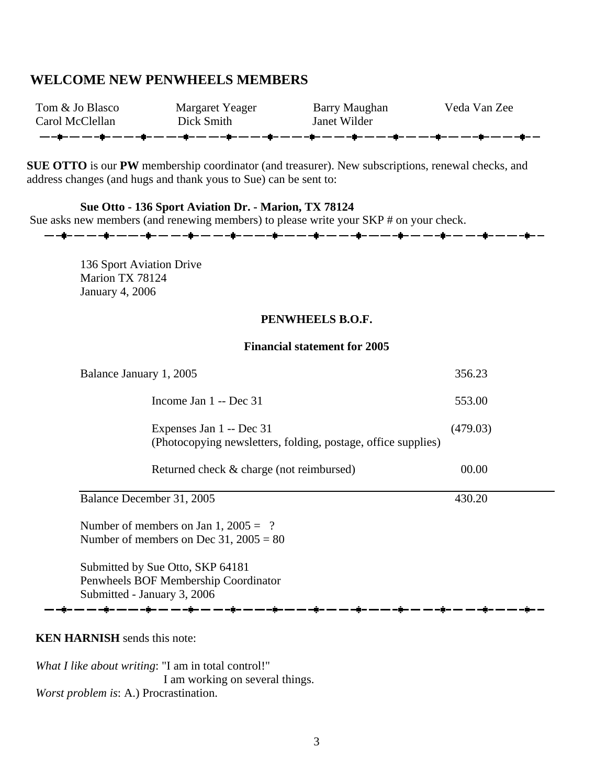## **WELCOME NEW PENWHEELS MEMBERS**

| Tom & Jo Blasco | Margaret Yeager                                                                    | Barry Maughan | Veda Van Zee |
|-----------------|------------------------------------------------------------------------------------|---------------|--------------|
| Carol McClellan | Dick Smith                                                                         | Janet Wilder  |              |
|                 | ╶╼╶ <b>┇╴╼╶╸╌┇╴╼╶╸╌┇╴╼╶╌┇╴╼╶╌┋╴╾╶╴┋╴╾╶╴╶┇╴</b> ╾╶╸┽┋╴╾╶╾┽┇╸╾╼╌┇╸╾╶╸╌┇╾╼╴╾╶┇╴╾╶╾╌┇╴ |               |              |

**SUE OTTO** is our **PW** membership coordinator (and treasurer). New subscriptions, renewal checks, and address changes (and hugs and thank yous to Sue) can be sent to:

<del>▁</del>▁▁⋬▁▁▁▁▁▁⋬▁▁▁▁▁▁⋬▁▁▁▁▁▁⋬▁▁▁▁▁▁⋬▁▁▂▁▁▁▌▁▁▁▁▁▁▋▁▁▁▁▁▁▌▁▁▁▁▁▁<mark>⋬</mark>▁▁▁▁▁▁▋▁▁▁▁▁▁▋▁▁▁▁▂▌

### **Sue Otto - 136 Sport Aviation Dr. - Marion, TX 78124**

Sue asks new members (and renewing members) to please write your SKP # on your check.

136 Sport Aviation Drive Marion TX 78124 January 4, 2006

#### **PENWHEELS B.O.F.**

#### **Financial statement for 2005**

| Balance January 1, 2005                                                                                 | 356.23   |  |  |
|---------------------------------------------------------------------------------------------------------|----------|--|--|
| Income Jan $1 - Dec 31$                                                                                 | 553.00   |  |  |
| Expenses Jan 1 -- Dec 31<br>(Photocopying newsletters, folding, postage, office supplies)               | (479.03) |  |  |
| Returned check & charge (not reimbursed)                                                                | 00.00    |  |  |
| Balance December 31, 2005                                                                               | 430.20   |  |  |
| Number of members on Jan 1, $2005 = ?$<br>Number of members on Dec 31, $2005 = 80$                      |          |  |  |
| Submitted by Sue Otto, SKP 64181<br>Penwheels BOF Membership Coordinator<br>Submitted - January 3, 2006 |          |  |  |
|                                                                                                         |          |  |  |

#### **KEN HARNISH** sends this note:

*What I like about writing*: "I am in total control!" I am working on several things. *Worst problem is*: A.) Procrastination.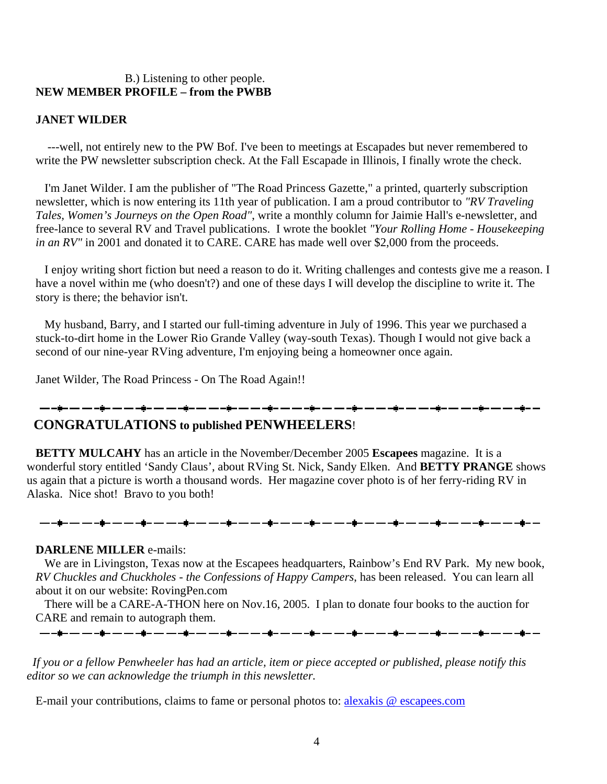### B.) Listening to other people. **NEW MEMBER PROFILE – from the PWBB**

#### **JANET WILDER**

 ---well, not entirely new to the PW Bof. I've been to meetings at Escapades but never remembered to write the PW newsletter subscription check. At the Fall Escapade in Illinois, I finally wrote the check.

 I'm Janet Wilder. I am the publisher of "The Road Princess Gazette," a printed, quarterly subscription newsletter, which is now entering its 11th year of publication. I am a proud contributor to *"RV Traveling Tales, Women's Journeys on the Open Road"*, write a monthly column for Jaimie Hall's e-newsletter, and free-lance to several RV and Travel publications. I wrote the booklet *"Your Rolling Home - Housekeeping in an RV"* in 2001 and donated it to CARE. CARE has made well over \$2,000 from the proceeds.

 I enjoy writing short fiction but need a reason to do it. Writing challenges and contests give me a reason. I have a novel within me (who doesn't?) and one of these days I will develop the discipline to write it. The story is there; the behavior isn't.

 My husband, Barry, and I started our full-timing adventure in July of 1996. This year we purchased a stuck-to-dirt home in the Lower Rio Grande Valley (way-south Texas). Though I would not give back a second of our nine-year RVing adventure, I'm enjoying being a homeowner once again.

Janet Wilder, The Road Princess - On The Road Again!!

<del>▁</del>▁▖▊▃▁▃▁▁▃▖▟▖▁▃▁▃▁▊▃▁▃▁▃▋▃▁▃▁▃▖▟▗▁▃▁▃▁▗▊▃▁▃▁▃▗▊▃▁▃▁▃▗▊▃▁▃▁▃▗▊▃▁▃▁▃▖▊▄▁▃▁▃▃▗▊▃▁▃▁▃▋▄▁▃

# **CONGRATULATIONS to published PENWHEELERS**!

 **BETTY MULCAHY** has an article in the November/December 2005 **Escapees** magazine. It is a wonderful story entitled 'Sandy Claus', about RVing St. Nick, Sandy Elken. And **BETTY PRANGE** shows us again that a picture is worth a thousand words. Her magazine cover photo is of her ferry-riding RV in Alaska. Nice shot! Bravo to you both!

#### **DARLENE MILLER** e-mails:

 We are in Livingston, Texas now at the Escapees headquarters, Rainbow's End RV Park. My new book, *RV Chuckles and Chuckholes - the Confessions of Happy Campers*, has been released. You can learn all about it on our website: RovingPen.com

 There will be a CARE-A-THON here on Nov.16, 2005. I plan to donate four books to the auction for CARE and remain to autograph them. <del>▁</del>▁▁▆▁▁▁▁▁▁▅▁▁▁▁▂▅▁▁▁▁▂▅▁▁▁▁▂▅▁▁▁▁▁▗▅▁▁▁▁▁▖<sup></sup>▅▁▁▁▁▁▁▗▅▁▁▁▁▁▗▅▁▁▁▁▂▗▅▁▁▁▁▂▗▅▁▁▁▁▂▗▅▁▁▁

 *If you or a fellow Penwheeler has had an article, item or piece accepted or published, please notify this editor so we can acknowledge the triumph in this newsletter.* 

E-mail your contributions, claims to fame or personal photos to: [alexakis @ escapees.com](mailto:alexakis@escapees.com)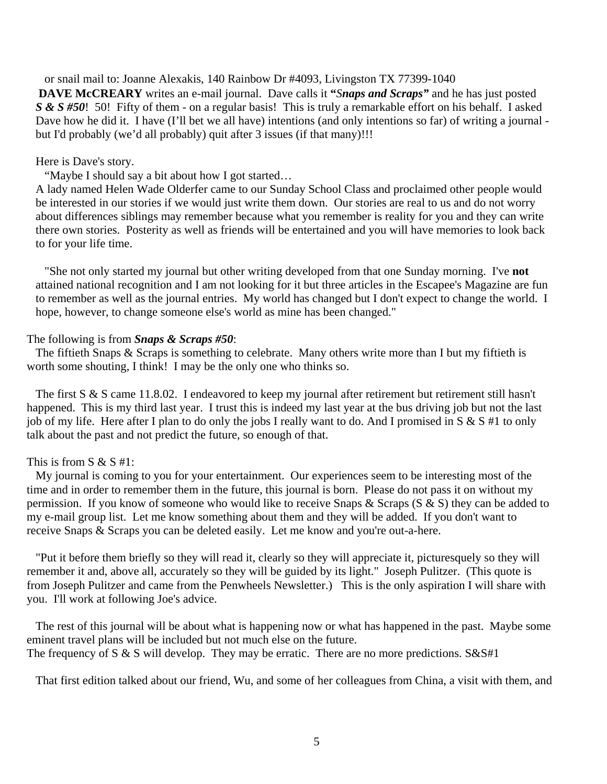or snail mail to: Joanne Alexakis, 140 Rainbow Dr #4093, Livingston TX 77399-1040 **DAVE McCREARY** writes an e-mail journal. Dave calls it **"***Snaps and Scraps"* and he has just posted *S & S #50*! 50! Fifty of them - on a regular basis! This is truly a remarkable effort on his behalf. I asked Dave how he did it. I have (I'll bet we all have) intentions (and only intentions so far) of writing a journal but I'd probably (we'd all probably) quit after 3 issues (if that many)!!!

#### Here is Dave's story.

"Maybe I should say a bit about how I got started…

A lady named Helen Wade Olderfer came to our Sunday School Class and proclaimed other people would be interested in our stories if we would just write them down. Our stories are real to us and do not worry about differences siblings may remember because what you remember is reality for you and they can write there own stories. Posterity as well as friends will be entertained and you will have memories to look back to for your life time.

 "She not only started my journal but other writing developed from that one Sunday morning. I've **not**  attained national recognition and I am not looking for it but three articles in the Escapee's Magazine are fun to remember as well as the journal entries. My world has changed but I don't expect to change the world. I hope, however, to change someone else's world as mine has been changed."

#### The following is from *Snaps & Scraps #50*:

 The fiftieth Snaps & Scraps is something to celebrate. Many others write more than I but my fiftieth is worth some shouting, I think! I may be the only one who thinks so.

The first S & S came 11.8.02. I endeavored to keep my journal after retirement but retirement still hasn't happened. This is my third last year. I trust this is indeed my last year at the bus driving job but not the last job of my life. Here after I plan to do only the jobs I really want to do. And I promised in S & S #1 to only talk about the past and not predict the future, so enough of that.

#### This is from  $S \& S #1$ :

 My journal is coming to you for your entertainment. Our experiences seem to be interesting most of the time and in order to remember them in the future, this journal is born. Please do not pass it on without my permission. If you know of someone who would like to receive Snaps & Scraps (S & S) they can be added to my e-mail group list. Let me know something about them and they will be added. If you don't want to receive Snaps & Scraps you can be deleted easily. Let me know and you're out-a-here.

 "Put it before them briefly so they will read it, clearly so they will appreciate it, picturesquely so they will remember it and, above all, accurately so they will be guided by its light." Joseph Pulitzer. (This quote is from Joseph Pulitzer and came from the Penwheels Newsletter.) This is the only aspiration I will share with you. I'll work at following Joe's advice.

 The rest of this journal will be about what is happening now or what has happened in the past. Maybe some eminent travel plans will be included but not much else on the future. The frequency of S & S will develop. They may be erratic. There are no more predictions.  $S\&S\#1$ 

That first edition talked about our friend, Wu, and some of her colleagues from China, a visit with them, and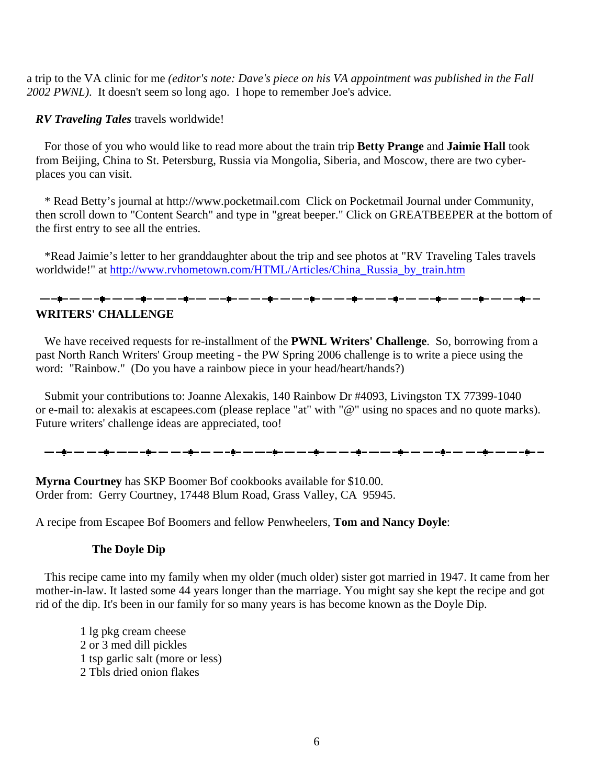a trip to the VA clinic for me *(editor's note: Dave's piece on his VA appointment was published in the Fall 2002 PWNL)*. It doesn't seem so long ago. I hope to remember Joe's advice.

*RV Traveling Tales* travels worldwide!

 For those of you who would like to read more about the train trip **Betty Prange** and **Jaimie Hall** took from Beijing, China to St. Petersburg, Russia via Mongolia, Siberia, and Moscow, there are two cyberplaces you can visit.

 \* Read Betty's journal at http://www.pocketmail.com Click on Pocketmail Journal under Community, then scroll down to "Content Search" and type in "great beeper." Click on GREATBEEPER at the bottom of the first entry to see all the entries.

 \*Read Jaimie's letter to her granddaughter about the trip and see photos at "RV Traveling Tales travels worldwide!" at [http://www.rvhometown.com/HTML/Articles/China\\_Russia\\_by\\_train.htm](http://www.rvhometown.com/HTML/Articles/China_Russia_by_train.htm)

# <del>▁</del>▁▁▆▃▁▁▁▁▁▅<sub></sub>▃▁▁▁▁▁▅<sub></sub>▁▁▁▁▁▂▅<sub></sub>▁▁▁▁▂▅▁▅▁▁▁▗▅▁▁▁▁▂▅▁▅▁▁▅▁▂▅▁▁▁▄<sub></sub>▅▁▁▁▂▂▅▁▅▁▂▅▁▁▁▂▅▁▁▅▁▂ **WRITERS' CHALLENGE**

 We have received requests for re-installment of the **PWNL Writers' Challenge**. So, borrowing from a past North Ranch Writers' Group meeting - the PW Spring 2006 challenge is to write a piece using the word: "Rainbow." (Do you have a rainbow piece in your head/heart/hands?)

 Submit your contributions to: Joanne Alexakis, 140 Rainbow Dr #4093, Livingston TX 77399-1040 or e-mail to: alexakis at escapees.com (please replace "at" with "@" using no spaces and no quote marks). Future writers' challenge ideas are appreciated, too!

**Myrna Courtney** has SKP Boomer Bof cookbooks available for \$10.00. Order from: Gerry Courtney, 17448 Blum Road, Grass Valley, CA 95945.

A recipe from Escapee Bof Boomers and fellow Penwheelers, **Tom and Nancy Doyle**:

### **The Doyle Dip**

 This recipe came into my family when my older (much older) sister got married in 1947. It came from her mother-in-law. It lasted some 44 years longer than the marriage. You might say she kept the recipe and got rid of the dip. It's been in our family for so many years is has become known as the Doyle Dip.

1 lg pkg cream cheese 2 or 3 med dill pickles 1 tsp garlic salt (more or less) 2 Tbls dried onion flakes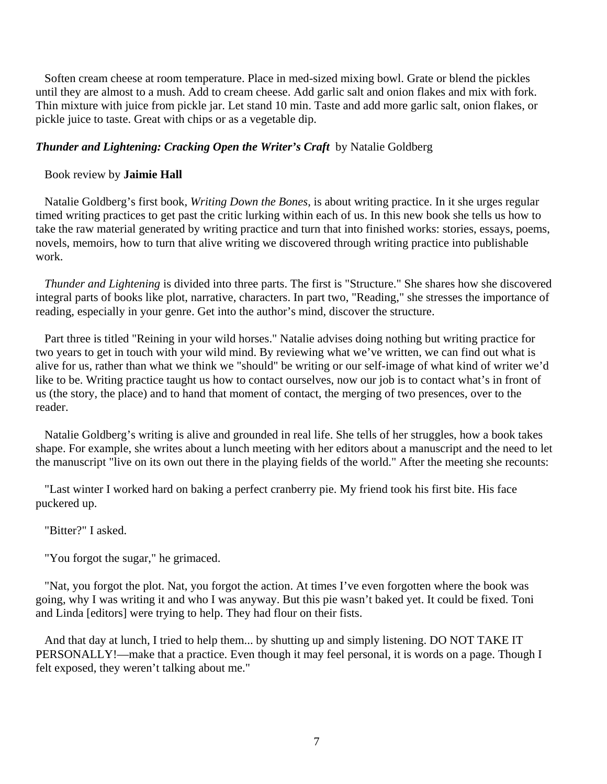Soften cream cheese at room temperature. Place in med-sized mixing bowl. Grate or blend the pickles until they are almost to a mush. Add to cream cheese. Add garlic salt and onion flakes and mix with fork. Thin mixture with juice from pickle jar. Let stand 10 min. Taste and add more garlic salt, onion flakes, or pickle juice to taste. Great with chips or as a vegetable dip.

## *Thunder and Lightening: Cracking Open the Writer's Craft* by Natalie Goldberg

### Book review by **Jaimie Hall**

 Natalie Goldberg's first book, *Writing Down the Bones*, is about writing practice. In it she urges regular timed writing practices to get past the critic lurking within each of us. In this new book she tells us how to take the raw material generated by writing practice and turn that into finished works: stories, essays, poems, novels, memoirs, how to turn that alive writing we discovered through writing practice into publishable work.

 *Thunder and Lightening* is divided into three parts. The first is "Structure." She shares how she discovered integral parts of books like plot, narrative, characters. In part two, "Reading," she stresses the importance of reading, especially in your genre. Get into the author's mind, discover the structure.

 Part three is titled "Reining in your wild horses." Natalie advises doing nothing but writing practice for two years to get in touch with your wild mind. By reviewing what we've written, we can find out what is alive for us, rather than what we think we "should" be writing or our self-image of what kind of writer we'd like to be. Writing practice taught us how to contact ourselves, now our job is to contact what's in front of us (the story, the place) and to hand that moment of contact, the merging of two presences, over to the reader.

 Natalie Goldberg's writing is alive and grounded in real life. She tells of her struggles, how a book takes shape. For example, she writes about a lunch meeting with her editors about a manuscript and the need to let the manuscript "live on its own out there in the playing fields of the world." After the meeting she recounts:

 "Last winter I worked hard on baking a perfect cranberry pie. My friend took his first bite. His face puckered up.

### "Bitter?" I asked.

"You forgot the sugar," he grimaced.

 "Nat, you forgot the plot. Nat, you forgot the action. At times I've even forgotten where the book was going, why I was writing it and who I was anyway. But this pie wasn't baked yet. It could be fixed. Toni and Linda [editors] were trying to help. They had flour on their fists.

 And that day at lunch, I tried to help them... by shutting up and simply listening. DO NOT TAKE IT PERSONALLY!—make that a practice. Even though it may feel personal, it is words on a page. Though I felt exposed, they weren't talking about me."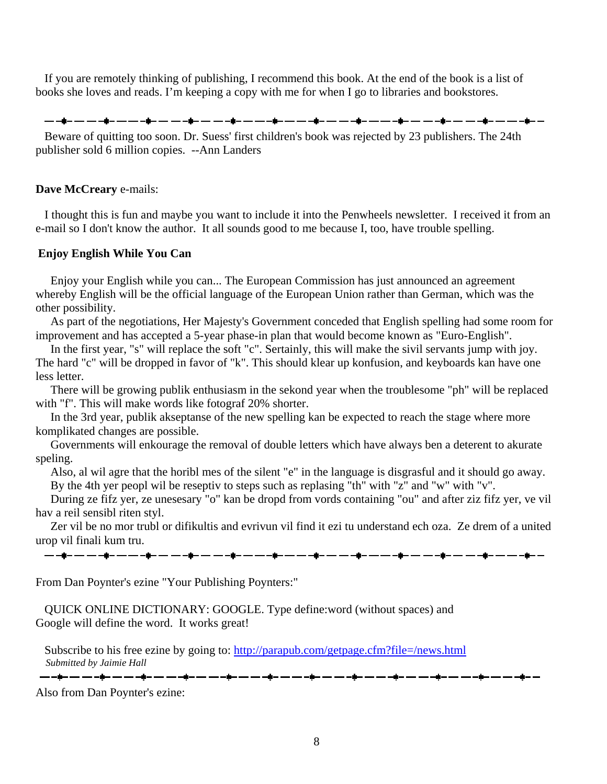If you are remotely thinking of publishing, I recommend this book. At the end of the book is a list of books she loves and reads. I'm keeping a copy with me for when I go to libraries and bookstores.

<del>▁</del>▁▁▊▁▁▁▁▁▁▊▁▁▁▁▁▋▁▁▁▁▂▋▁▁▁▁▂▋▁▁▁▁▁▌▁▁▁▁▁▌▁▁▁▁▁▌▁▁▁▁▁▌▏▁▁▁▁▁▌▁▁▁▁▁▌▁▁▁▁▁▌▁▁▁▁▁▌▁▁

 Beware of quitting too soon. Dr. Suess' first children's book was rejected by 23 publishers. The 24th publisher sold 6 million copies. --Ann Landers

#### **Dave McCreary** e-mails:

 I thought this is fun and maybe you want to include it into the Penwheels newsletter. I received it from an e-mail so I don't know the author. It all sounds good to me because I, too, have trouble spelling.

#### **Enjoy English While You Can**

 Enjoy your English while you can... The European Commission has just announced an agreement whereby English will be the official language of the European Union rather than German, which was the other possibility.

 As part of the negotiations, Her Majesty's Government conceded that English spelling had some room for improvement and has accepted a 5-year phase-in plan that would become known as "Euro-English".

In the first year, "s" will replace the soft "c". Sertainly, this will make the sivil servants jump with joy. The hard "c" will be dropped in favor of "k". This should klear up konfusion, and keyboards kan have one less letter.

 There will be growing publik enthusiasm in the sekond year when the troublesome "ph" will be replaced with "f". This will make words like fotograf 20% shorter.

 In the 3rd year, publik akseptanse of the new spelling kan be expected to reach the stage where more komplikated changes are possible.

 Governments will enkourage the removal of double letters which have always ben a deterent to akurate speling.

 Also, al wil agre that the horibl mes of the silent "e" in the language is disgrasful and it should go away. By the 4th yer peopl wil be reseptiv to steps such as replasing "th" with "z" and "w" with "v".

 During ze fifz yer, ze unesesary "o" kan be dropd from vords containing "ou" and after ziz fifz yer, ve vil hav a reil sensibl riten styl.

 Zer vil be no mor trubl or difikultis and evrivun vil find it ezi tu understand ech oza. Ze drem of a united urop vil finali kum tru.

From Dan Poynter's ezine "Your Publishing Poynters:"

 QUICK ONLINE DICTIONARY: GOOGLE. Type define:word (without spaces) and Google will define the word. It works great!

Subscribe to his free ezine by going to: [http://parapub.com/getpage.cfm?file=/news.html](http://groups.yahoo.com/group/penwheels/message/759)  *Submitted by Jaimie Hall*

▁<br>▃▖▃⋬▃▗▃▖▃▖▄▊▄▗▃▖▃▖▄▊▄▗▃▖▃▖▄▋▄▗▃▖▃▃▗▊▄▗▃▗▃▖▄▋▄▗▃▗▃▖▟▋▄▗▃▗▃▖▟▋▄▗▃▗▃▖▟▖▄▗▃▗▊▄▗▃▗▃▗▊▄▗▃

Also from Dan Poynter's ezine: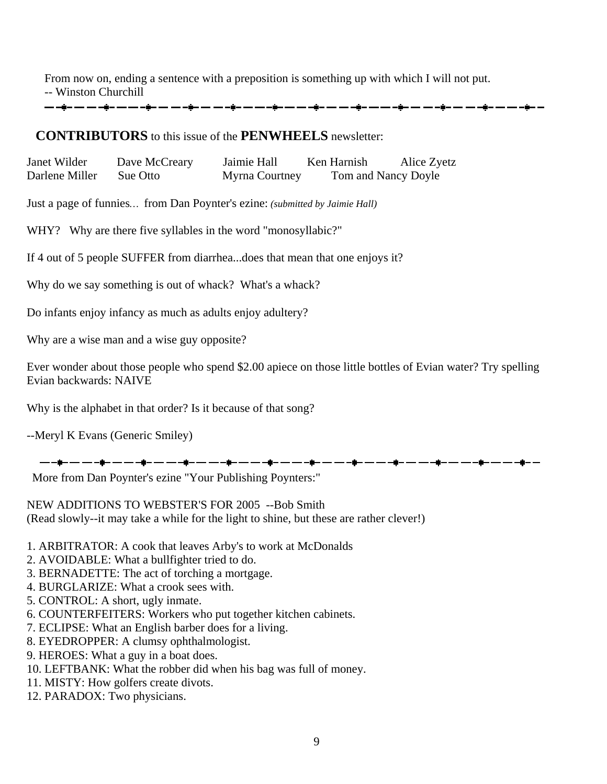From now on, ending a sentence with a preposition is something up with which I will not put. -- Winston Churchill

# **CONTRIBUTORS** to this issue of the **PENWHEELS** newsletter:

Janet Wilder Dave McCreary Jaimie Hall Ken Harnish Alice Zyetz Darlene Miller Sue Otto Myrna Courtney Tom and Nancy Doyle

Just a page of funnies*…* from Dan Poynter's ezine: *(submitted by Jaimie Hall)*

WHY? Why are there five syllables in the word "monosyllabic?"

If 4 out of 5 people SUFFER from diarrhea...does that mean that one enjoys it?

Why do we say something is out of whack? What's a whack?

Do infants enjoy infancy as much as adults enjoy adultery?

Why are a wise man and a wise guy opposite?

Ever wonder about those people who spend \$2.00 apiece on those little bottles of Evian water? Try spelling Evian backwards: NAIVE

Why is the alphabet in that order? Is it because of that song?

--Meryl K Evans (Generic Smiley)

\_\_ \_\_\_ \_\_ \_\_ \_\_\_\_\_\_\_ \_\_\_ \_\_\_

More from Dan Poynter's ezine "Your Publishing Poynters:"

NEW ADDITIONS TO WEBSTER'S FOR 2005 --Bob Smith (Read slowly--it may take a while for the light to shine, but these are rather clever!)

- 1. ARBITRATOR: A cook that leaves Arby's to work at McDonalds
- 2. AVOIDABLE: What a bullfighter tried to do.
- 3. BERNADETTE: The act of torching a mortgage.
- 4. BURGLARIZE: What a crook sees with.
- 5. CONTROL: A short, ugly inmate.
- 6. COUNTERFEITERS: Workers who put together kitchen cabinets.
- 7. ECLIPSE: What an English barber does for a living.
- 8. EYEDROPPER: A clumsy ophthalmologist.
- 9. HEROES: What a guy in a boat does.
- 10. LEFTBANK: What the robber did when his bag was full of money.
- 11. MISTY: How golfers create divots.
- 12. PARADOX: Two physicians.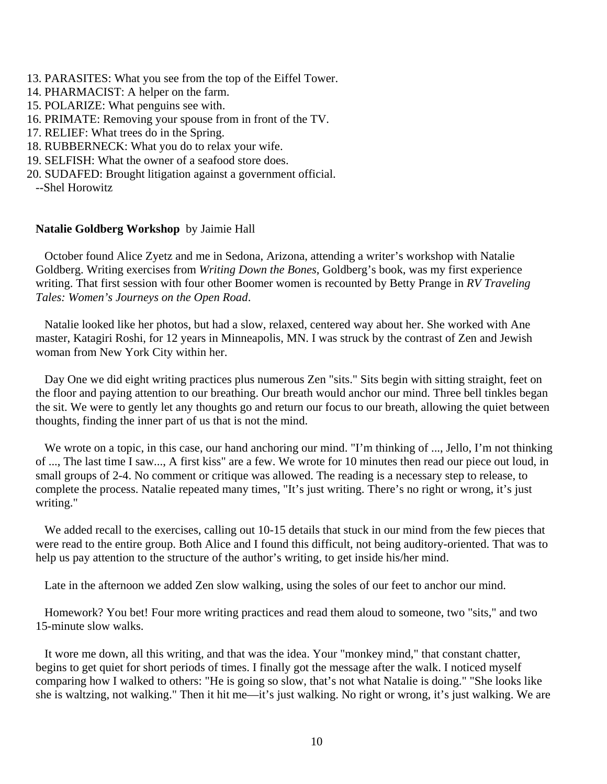- 13. PARASITES: What you see from the top of the Eiffel Tower.
- 14. PHARMACIST: A helper on the farm.
- 15. POLARIZE: What penguins see with.
- 16. PRIMATE: Removing your spouse from in front of the TV.
- 17. RELIEF: What trees do in the Spring.
- 18. RUBBERNECK: What you do to relax your wife.
- 19. SELFISH: What the owner of a seafood store does.
- 20. SUDAFED: Brought litigation against a government official.
- --Shel Horowitz

### **Natalie Goldberg Workshop** by Jaimie Hall

 October found Alice Zyetz and me in Sedona, Arizona, attending a writer's workshop with Natalie Goldberg. Writing exercises from *Writing Down the Bones*, Goldberg's book, was my first experience writing. That first session with four other Boomer women is recounted by Betty Prange in *RV Traveling Tales: Women's Journeys on the Open Road*.

 Natalie looked like her photos, but had a slow, relaxed, centered way about her. She worked with Ane master, Katagiri Roshi, for 12 years in Minneapolis, MN. I was struck by the contrast of Zen and Jewish woman from New York City within her.

 Day One we did eight writing practices plus numerous Zen "sits." Sits begin with sitting straight, feet on the floor and paying attention to our breathing. Our breath would anchor our mind. Three bell tinkles began the sit. We were to gently let any thoughts go and return our focus to our breath, allowing the quiet between thoughts, finding the inner part of us that is not the mind.

We wrote on a topic, in this case, our hand anchoring our mind. "I'm thinking of ..., Jello, I'm not thinking of ..., The last time I saw..., A first kiss" are a few. We wrote for 10 minutes then read our piece out loud, in small groups of 2-4. No comment or critique was allowed. The reading is a necessary step to release, to complete the process. Natalie repeated many times, "It's just writing. There's no right or wrong, it's just writing."

We added recall to the exercises, calling out 10-15 details that stuck in our mind from the few pieces that were read to the entire group. Both Alice and I found this difficult, not being auditory-oriented. That was to help us pay attention to the structure of the author's writing, to get inside his/her mind.

Late in the afternoon we added Zen slow walking, using the soles of our feet to anchor our mind.

 Homework? You bet! Four more writing practices and read them aloud to someone, two "sits," and two 15-minute slow walks.

 It wore me down, all this writing, and that was the idea. Your "monkey mind," that constant chatter, begins to get quiet for short periods of times. I finally got the message after the walk. I noticed myself comparing how I walked to others: "He is going so slow, that's not what Natalie is doing." "She looks like she is waltzing, not walking." Then it hit me—it's just walking. No right or wrong, it's just walking. We are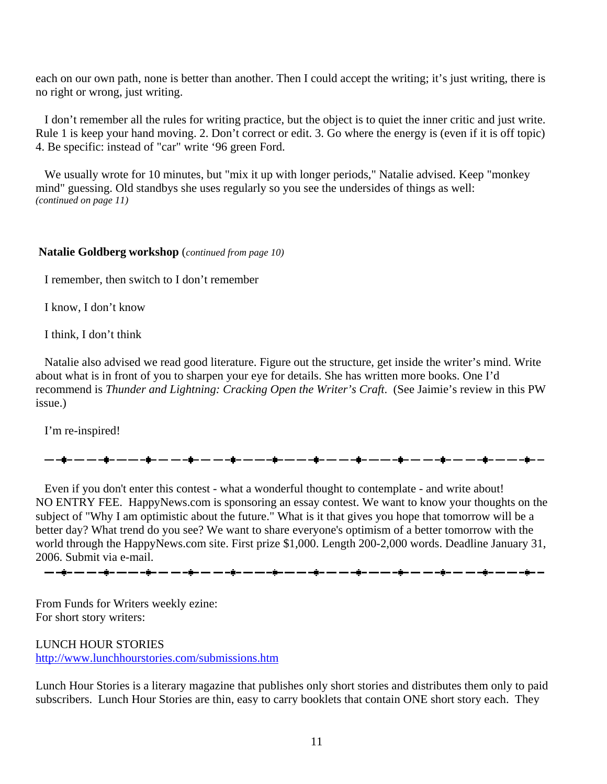each on our own path, none is better than another. Then I could accept the writing; it's just writing, there is no right or wrong, just writing.

 I don't remember all the rules for writing practice, but the object is to quiet the inner critic and just write. Rule 1 is keep your hand moving. 2. Don't correct or edit. 3. Go where the energy is (even if it is off topic) 4. Be specific: instead of "car" write '96 green Ford.

 We usually wrote for 10 minutes, but "mix it up with longer periods," Natalie advised. Keep "monkey mind" guessing. Old standbys she uses regularly so you see the undersides of things as well: *(continued on page 11)*

#### **Natalie Goldberg workshop** (*continued from page 10)*

I remember, then switch to I don't remember

I know, I don't know

I think, I don't think

 Natalie also advised we read good literature. Figure out the structure, get inside the writer's mind. Write about what is in front of you to sharpen your eye for details. She has written more books. One I'd recommend is *Thunder and Lightning: Cracking Open the Writer's Craft*. (See Jaimie's review in this PW issue.)

I'm re-inspired!

▃▖▃▖▄**ġ▃▗▃▗▃▗ġ▃▃▖▃▖▄**@▃▗▃▗▄<sub></sub>▄▄▃▃▃▗<sub></sub>ġ▃▃▖▃▖▄<sub>▊</sub>▃▗▃▗▃▗<sub></sub>▅▃▗▃▃▗▅▃▗▃▗▅▃▗▃▗▅▃▃▃▗▅▄▃▃▗▅▃▃▄▄

 Even if you don't enter this contest - what a wonderful thought to contemplate - and write about! NO ENTRY FEE. HappyNews.com is sponsoring an essay contest. We want to know your thoughts on the subject of "Why I am optimistic about the future." What is it that gives you hope that tomorrow will be a better day? What trend do you see? We want to share everyone's optimism of a better tomorrow with the world through the HappyNews.com site. First prize \$1,000. Length 200-2,000 words. Deadline January 31, 2006. Submit via e-mail.

From Funds for Writers weekly ezine: For short story writers:

LUNCH HOUR STORIES [http://www.lunchhourstories.com/submissions.htm](http://groups.yahoo.com/group/penwheels/message/819)

Lunch Hour Stories is a literary magazine that publishes only short stories and distributes them only to paid subscribers. Lunch Hour Stories are thin, easy to carry booklets that contain ONE short story each. They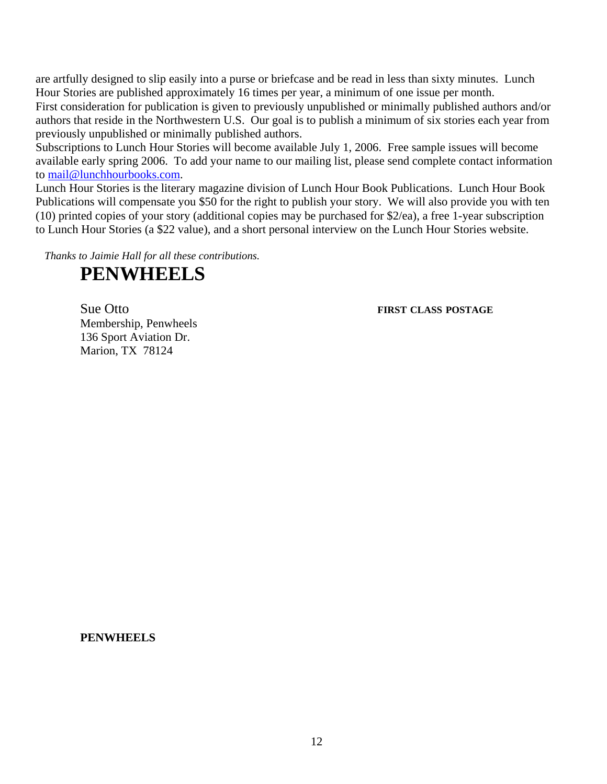are artfully designed to slip easily into a purse or briefcase and be read in less than sixty minutes. Lunch Hour Stories are published approximately 16 times per year, a minimum of one issue per month.

First consideration for publication is given to previously unpublished or minimally published authors and/or authors that reside in the Northwestern U.S. Our goal is to publish a minimum of six stories each year from previously unpublished or minimally published authors.

Subscriptions to Lunch Hour Stories will become available July 1, 2006. Free sample issues will become available early spring 2006. To add your name to our mailing list, please send complete contact information to [mail@lunchhourbooks.com.](http://groups.yahoo.com/group/penwheels/message/819)

Lunch Hour Stories is the literary magazine division of Lunch Hour Book Publications. Lunch Hour Book Publications will compensate you \$50 for the right to publish your story. We will also provide you with ten (10) printed copies of your story (additional copies may be purchased for \$2/ea), a free 1-year subscription to Lunch Hour Stories (a \$22 value), and a short personal interview on the Lunch Hour Stories website.

*Thanks to Jaimie Hall for all these contributions.* 

# **PENWHEELS**

Sue Otto **FIRST CLASS POSTAGE**

Membership, Penwheels 136 Sport Aviation Dr. Marion, TX 78124

#### **PENWHEELS**